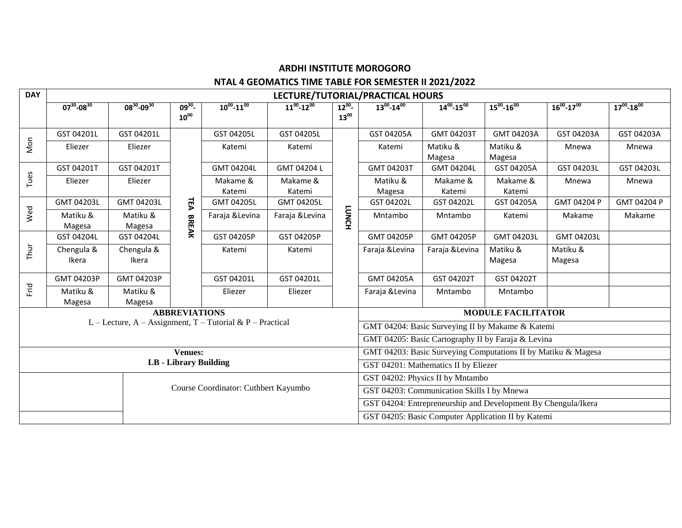# **ARDHI INSTITUTE MOROGORO**

### **NTAL 4 GEOMATICS TIME TABLE FOR SEMESTER II 2021/2022**

| <b>DAY</b>                           | LECTURE/TUTORIAL/PRACTICAL HOURS |                     |                              |                                                           |                     |                                                               |                                                               |                                                    |                     |                     |                     |  |  |
|--------------------------------------|----------------------------------|---------------------|------------------------------|-----------------------------------------------------------|---------------------|---------------------------------------------------------------|---------------------------------------------------------------|----------------------------------------------------|---------------------|---------------------|---------------------|--|--|
|                                      | $07^{30} - 08^{30}$              | $08^{30} - 09^{30}$ | $09^{30}$<br>$10^{00}$       | $10^{00} - 11^{00}$                                       | $11^{00} - 12^{00}$ | $12^{00}$<br>$13^{00}$                                        | $13^{00} - 14^{00}$                                           | $14^{00} - 15^{00}$                                | $15^{00} - 16^{00}$ | $16^{00} - 17^{00}$ | $17^{00} - 18^{00}$ |  |  |
| Mon                                  | GST 04201L                       | GST 04201L          | ᇃ<br><b>BREAK</b>            | GST 04205L                                                | GST 04205L          | <b>LUNCH</b>                                                  | GST 04205A                                                    | GMT 04203T                                         | GMT 04203A          | GST 04203A          | GST 04203A          |  |  |
|                                      | Eliezer                          | Eliezer             |                              | Katemi                                                    | Katemi              |                                                               | Katemi                                                        | Matiku &<br>Magesa                                 | Matiku &<br>Magesa  | Mnewa               | Mnewa               |  |  |
| Tues                                 | GST 04201T                       | GST 04201T          |                              | GMT 04204L                                                | GMT 04204 L         |                                                               | GMT 04203T                                                    | GMT 04204L                                         | GST 04205A          | GST 04203L          | GST 04203L          |  |  |
|                                      | Eliezer                          | Eliezer             |                              | Makame &<br>Katemi                                        | Makame &<br>Katemi  |                                                               | Matiku &<br>Magesa                                            | Makame &<br>Katemi                                 | Makame &<br>Katemi  | Mnewa               | Mnewa               |  |  |
|                                      | GMT 04203L                       | GMT 04203L          |                              | GMT 04205L                                                | GMT 04205L          |                                                               | GST 04202L                                                    | GST 04202L                                         | GST 04205A          | GMT 04204 P         | GMT 04204 P         |  |  |
| Wed                                  | Matiku &<br>Magesa               | Matiku &<br>Magesa  |                              | Faraja & Levina                                           | Faraja & Levina     |                                                               | Mntambo                                                       | Mntambo                                            | Katemi              | Makame              | Makame              |  |  |
|                                      | GST 04204L                       | GST 04204L          |                              | GST 04205P                                                | GST 04205P          |                                                               | GMT 04205P                                                    | GMT 04205P                                         | GMT 04203L          | GMT 04203L          |                     |  |  |
| Thur                                 | Chengula &<br>Ikera              | Chengula &<br>Ikera |                              | Katemi                                                    | Katemi              |                                                               | Faraja & Levina                                               | Faraja & Levina                                    | Matiku &<br>Magesa  | Matiku &<br>Magesa  |                     |  |  |
| Frid                                 | GMT 04203P                       | GMT 04203P          |                              | GST 04201L                                                | GST 04201L          |                                                               | GMT 04205A                                                    | GST 04202T                                         | GST 04202T          |                     |                     |  |  |
|                                      | Matiku &<br>Magesa               | Matiku &<br>Magesa  |                              | Eliezer                                                   | Eliezer             |                                                               | Faraja & Levina                                               | Mntambo                                            | Mntambo             |                     |                     |  |  |
| <b>ABBREVIATIONS</b>                 |                                  |                     |                              |                                                           |                     |                                                               |                                                               | <b>MODULE FACILITATOR</b>                          |                     |                     |                     |  |  |
|                                      |                                  |                     |                              | L – Lecture, A – Assignment, T – Tutorial & P – Practical |                     | GMT 04204: Basic Surveying II by Makame & Katemi              |                                                               |                                                    |                     |                     |                     |  |  |
|                                      |                                  |                     |                              |                                                           |                     | GMT 04205: Basic Cartography II by Faraja & Levina            |                                                               |                                                    |                     |                     |                     |  |  |
|                                      |                                  |                     | <b>Venues:</b>               |                                                           |                     | GMT 04203: Basic Surveying Computations II by Matiku & Magesa |                                                               |                                                    |                     |                     |                     |  |  |
|                                      |                                  |                     | <b>LB</b> - Library Building |                                                           |                     | GST 04201: Mathematics II by Eliezer                          |                                                               |                                                    |                     |                     |                     |  |  |
|                                      |                                  |                     |                              |                                                           |                     |                                                               | GST 04202: Physics II by Mntambo                              |                                                    |                     |                     |                     |  |  |
| Course Coordinator: Cuthbert Kayumbo |                                  |                     |                              |                                                           |                     | GST 04203: Communication Skills I by Mnewa                    |                                                               |                                                    |                     |                     |                     |  |  |
|                                      |                                  |                     |                              |                                                           |                     |                                                               | GST 04204: Entrepreneurship and Development By Chengula/Ikera |                                                    |                     |                     |                     |  |  |
|                                      |                                  |                     |                              |                                                           |                     |                                                               |                                                               | GST 04205: Basic Computer Application II by Katemi |                     |                     |                     |  |  |

 $\overline{\phantom{0}}$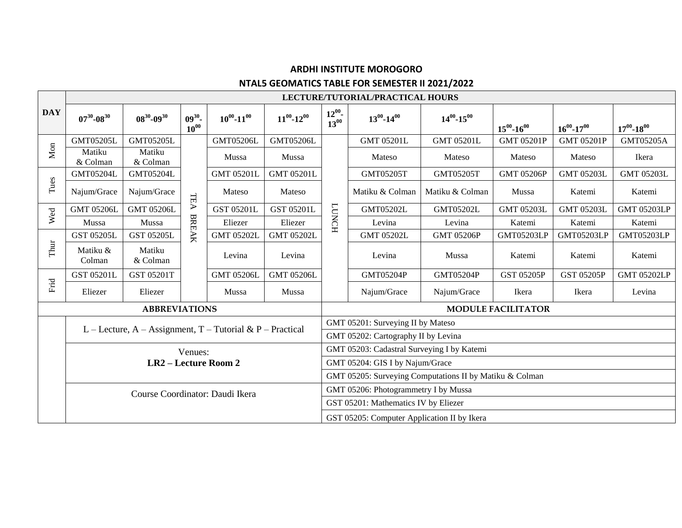# **ARDHI INSTITUTE MOROGORO NTAL5 GEOMATICS TABLE FOR SEMESTER II 2021/2022**

|            | LECTURE/TUTORIAL/PRACTICAL HOURS                          |                      |                        |                     |                     |                                             |                                                         |                     |                     |                     |                     |  |  |
|------------|-----------------------------------------------------------|----------------------|------------------------|---------------------|---------------------|---------------------------------------------|---------------------------------------------------------|---------------------|---------------------|---------------------|---------------------|--|--|
| <b>DAY</b> | $07^{30} - 08^{30}$                                       | $08^{30} - 09^{30}$  | $09^{30}$<br>$10^{00}$ | $10^{00} - 11^{00}$ | $11^{00} - 12^{00}$ | $12^{00}$<br>$13^{00}$                      | $13^{00} - 14^{00}$                                     | $14^{00} - 15^{00}$ | $15^{00} - 16^{00}$ | $16^{00} - 17^{00}$ | $17^{00} - 18^{00}$ |  |  |
| Mon        | <b>GMT05205L</b>                                          | <b>GMT05205L</b>     |                        | <b>GMT05206L</b>    | <b>GMT05206L</b>    |                                             | <b>GMT 05201L</b>                                       | <b>GMT 05201L</b>   | <b>GMT 05201P</b>   | <b>GMT 05201P</b>   | GMT05205A           |  |  |
|            | Matiku<br>& Colman                                        | Matiku<br>& Colman   |                        | Mussa               | Mussa               | <b>TONCH</b>                                | Mateso                                                  | Mateso              | Mateso              | Mateso              | Ikera               |  |  |
| Tues       | <b>GMT05204L</b>                                          | <b>GMT05204L</b>     |                        | <b>GMT 05201L</b>   | <b>GMT 05201L</b>   |                                             | <b>GMT05205T</b>                                        | <b>GMT05205T</b>    | <b>GMT 05206P</b>   | <b>GMT 05203L</b>   | <b>GMT 05203L</b>   |  |  |
|            | Najum/Grace                                               | Najum/Grace          | TEA                    | Mateso              | Mateso              |                                             | Matiku & Colman                                         | Matiku & Colman     | Mussa               | Katemi              | Katemi              |  |  |
| Wed        | <b>GMT 05206L</b>                                         | <b>GMT 05206L</b>    |                        | GST 05201L          | GST 05201L          |                                             | <b>GMT05202L</b>                                        | <b>GMT05202L</b>    | <b>GMT 05203L</b>   | <b>GMT 05203L</b>   | <b>GMT 05203LP</b>  |  |  |
|            | Mussa                                                     | Mussa                |                        | Eliezer             | Eliezer             |                                             | Levina                                                  | Levina              | Katemi              | Katemi              | Katemi              |  |  |
| Thur       | GST 05205L                                                | GST 05205L           | BREAK                  | <b>GMT 05202L</b>   | <b>GMT 05202L</b>   |                                             | <b>GMT 05202L</b>                                       | <b>GMT 05206P</b>   | <b>GMT05203LP</b>   | <b>GMT05203LP</b>   | <b>GMT05203LP</b>   |  |  |
|            | Matiku &<br>Colman                                        | Matiku<br>& Colman   |                        | Levina              | Levina              |                                             | Levina                                                  | Mussa               | Katemi              | Katemi              | Katemi              |  |  |
| Frid       | GST 05201L                                                | GST 05201T           |                        | <b>GMT 05206L</b>   | <b>GMT 05206L</b>   |                                             | <b>GMT05204P</b>                                        | <b>GMT05204P</b>    | <b>GST 05205P</b>   | <b>GST 05205P</b>   | <b>GMT 05202LP</b>  |  |  |
|            | Eliezer                                                   | Eliezer              |                        | Mussa               | Mussa               |                                             | Najum/Grace                                             | Najum/Grace         | Ikera               | Ikera               | Levina              |  |  |
|            |                                                           | <b>ABBREVIATIONS</b> |                        |                     |                     | <b>MODULE FACILITATOR</b>                   |                                                         |                     |                     |                     |                     |  |  |
|            | L – Lecture, A – Assignment, T – Tutorial & P – Practical |                      |                        |                     |                     |                                             | GMT 05201: Surveying II by Mateso                       |                     |                     |                     |                     |  |  |
|            |                                                           |                      |                        |                     |                     |                                             | GMT 05202: Cartography II by Levina                     |                     |                     |                     |                     |  |  |
|            |                                                           |                      | Venues:                |                     |                     | GMT 05203: Cadastral Surveying I by Katemi  |                                                         |                     |                     |                     |                     |  |  |
|            | LR2 - Lecture Room 2<br>Course Coordinator: Daudi Ikera   |                      |                        |                     |                     |                                             | GMT 05204: GIS I by Najum/Grace                         |                     |                     |                     |                     |  |  |
|            |                                                           |                      |                        |                     |                     |                                             | GMT 05205: Surveying Computations II by Matiku & Colman |                     |                     |                     |                     |  |  |
|            |                                                           |                      |                        |                     |                     |                                             | GMT 05206: Photogrammetry I by Mussa                    |                     |                     |                     |                     |  |  |
|            |                                                           |                      |                        |                     |                     |                                             | GST 05201: Mathematics IV by Eliezer                    |                     |                     |                     |                     |  |  |
|            |                                                           |                      |                        |                     |                     | GST 05205: Computer Application II by Ikera |                                                         |                     |                     |                     |                     |  |  |